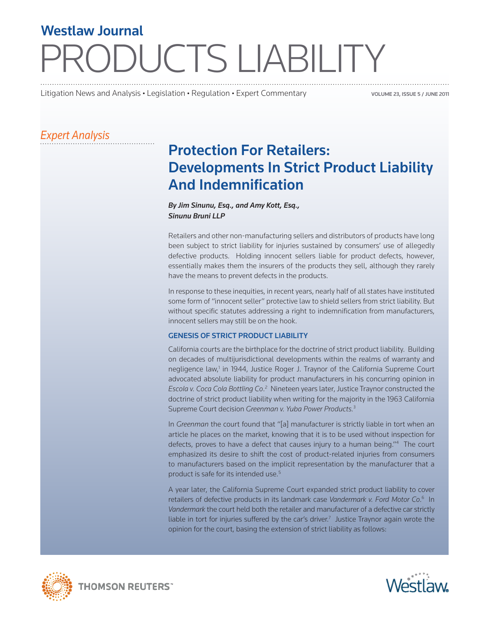# **PDUCTS LIABILITY** Westlaw Journal

Litigation News and Analysis • Legislation • Regulation • Expert Commentary

VOLUME 23, ISSUE 5 / JUNE 2011

### *Expert Analysis*

## Protection For Retailers: Developments In Strict Product Liability And Indemnification

#### *By Jim Sinunu, Esq., and Amy Kott, Esq., Sinunu Bruni LLP*

Retailers and other non-manufacturing sellers and distributors of products have long been subject to strict liability for injuries sustained by consumers' use of allegedly defective products. Holding innocent sellers liable for product defects, however, essentially makes them the insurers of the products they sell, although they rarely have the means to prevent defects in the products.

In response to these inequities, in recent years, nearly half of all states have instituted some form of "innocent seller" protective law to shield sellers from strict liability. But without specific statutes addressing a right to indemnification from manufacturers, innocent sellers may still be on the hook.

#### GENESIS OF STRICT PRODUCT LIABILITY

California courts are the birthplace for the doctrine of strict product liability. Building on decades of multijurisdictional developments within the realms of warranty and negligence law,<sup>1</sup> in 1944, Justice Roger J. Traynor of the California Supreme Court advocated absolute liability for product manufacturers in his concurring opinion in Escola v. Coca Cola Bottling Co.<sup>2</sup> Nineteen years later, Justice Traynor constructed the doctrine of strict product liability when writing for the majority in the 1963 California Supreme Court decision *Greenman v. Yuba Power Products.*<sup>3</sup>

In *Greenman* the court found that "[a] manufacturer is strictly liable in tort when an article he places on the market, knowing that it is to be used without inspection for defects, proves to have a defect that causes injury to a human being."4 The court emphasized its desire to shift the cost of product-related injuries from consumers to manufacturers based on the implicit representation by the manufacturer that a product is safe for its intended use.<sup>5</sup>

A year later, the California Supreme Court expanded strict product liability to cover retailers of defective products in its landmark case *Vandermark v. Ford Motor Co*. 6 In *Vandermark* the court held both the retailer and manufacturer of a defective car strictly liable in tort for injuries suffered by the car's driver.<sup>7</sup> Justice Traynor again wrote the opinion for the court, basing the extension of strict liability as follows:





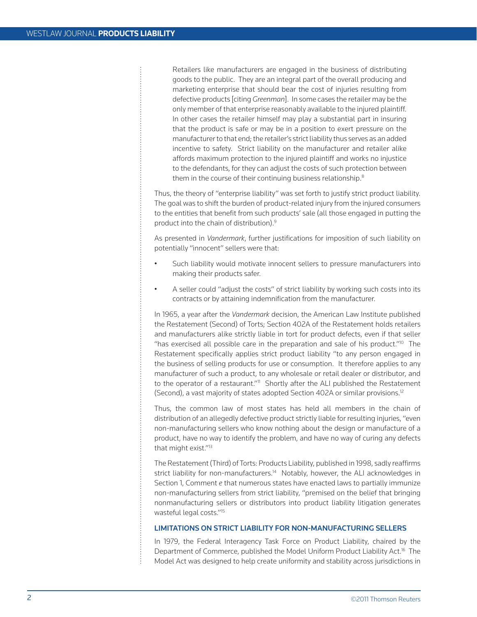Retailers like manufacturers are engaged in the business of distributing goods to the public. They are an integral part of the overall producing and marketing enterprise that should bear the cost of injuries resulting from defective products [citing *Greenman*]. In some cases the retailer may be the only member of that enterprise reasonably available to the injured plaintiff. In other cases the retailer himself may play a substantial part in insuring that the product is safe or may be in a position to exert pressure on the manufacturer to that end; the retailer's strict liability thus serves as an added incentive to safety. Strict liability on the manufacturer and retailer alike affords maximum protection to the injured plaintiff and works no injustice to the defendants, for they can adjust the costs of such protection between them in the course of their continuing business relationship.<sup>8</sup>

Thus, the theory of "enterprise liability" was set forth to justify strict product liability. The goal was to shift the burden of product-related injury from the injured consumers to the entities that benefit from such products' sale (all those engaged in putting the product into the chain of distribution).9

As presented in *Vandermark*, further justifications for imposition of such liability on potentially "innocent" sellers were that:

- Such liability would motivate innocent sellers to pressure manufacturers into making their products safer.
- A seller could "adjust the costs" of strict liability by working such costs into its contracts or by attaining indemnification from the manufacturer.

In 1965, a year after the *Vandermark* decision, the American Law Institute published the Restatement (Second) of Torts; Section 402A of the Restatement holds retailers and manufacturers alike strictly liable in tort for product defects, even if that seller "has exercised all possible care in the preparation and sale of his product." $10^{\circ}$  The Restatement specifically applies strict product liability "to any person engaged in the business of selling products for use or consumption. It therefore applies to any manufacturer of such a product, to any wholesale or retail dealer or distributor, and to the operator of a restaurant."<sup>11</sup> Shortly after the ALI published the Restatement (Second), a vast majority of states adopted Section 402A or similar provisions.12

Thus, the common law of most states has held all members in the chain of distribution of an allegedly defective product strictly liable for resulting injuries, "even non-manufacturing sellers who know nothing about the design or manufacture of a product, have no way to identify the problem, and have no way of curing any defects that might exist."13

The Restatement (Third) of Torts: Products Liability, published in 1998, sadly reaffirms strict liability for non-manufacturers.<sup>14</sup> Notably, however, the ALI acknowledges in Section 1, Comment *e* that numerous states have enacted laws to partially immunize non-manufacturing sellers from strict liability, "premised on the belief that bringing nonmanufacturing sellers or distributors into product liability litigation generates wasteful legal costs."15

#### LIMITATIONS ON STRICT LIABILITY FOR NON-MANUFACTURING SELLERS

In 1979, the Federal Interagency Task Force on Product Liability, chaired by the Department of Commerce, published the Model Uniform Product Liability Act.<sup>16</sup> The Model Act was designed to help create uniformity and stability across jurisdictions in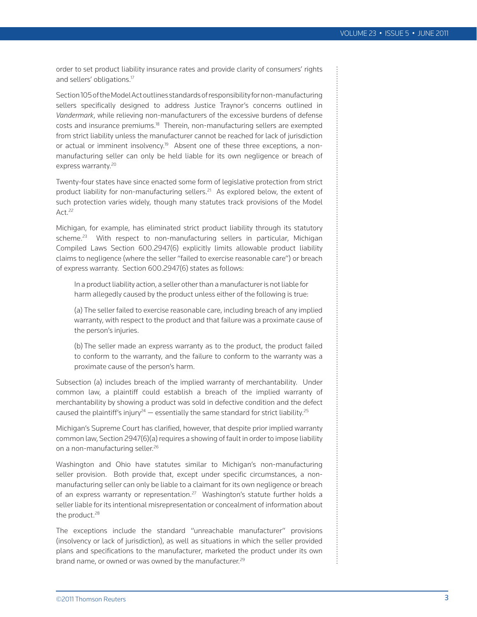order to set product liability insurance rates and provide clarity of consumers' rights and sellers' obligations.17

Section 105 of the Model Act outlines standards of responsibility for non-manufacturing sellers specifically designed to address Justice Traynor's concerns outlined in *Vandermark*, while relieving non-manufacturers of the excessive burdens of defense costs and insurance premiums.18 Therein, non-manufacturing sellers are exempted from strict liability unless the manufacturer cannot be reached for lack of jurisdiction or actual or imminent insolvency.<sup>19</sup> Absent one of these three exceptions, a nonmanufacturing seller can only be held liable for its own negligence or breach of express warranty.<sup>20</sup>

Twenty-four states have since enacted some form of legislative protection from strict product liability for non-manufacturing sellers.<sup>21</sup> As explored below, the extent of such protection varies widely, though many statutes track provisions of the Model  $Act.<sup>22</sup>$ 

Michigan, for example, has eliminated strict product liability through its statutory scheme.<sup>23</sup> With respect to non-manufacturing sellers in particular, Michigan Compiled Laws Section 600.2947(6) explicitly limits allowable product liability claims to negligence (where the seller "failed to exercise reasonable care") or breach of express warranty. Section 600.2947(6) states as follows:

In a product liability action, a seller other than a manufacturer is not liable for harm allegedly caused by the product unless either of the following is true:

(a) The seller failed to exercise reasonable care, including breach of any implied warranty, with respect to the product and that failure was a proximate cause of the person's injuries.

(b) The seller made an express warranty as to the product, the product failed to conform to the warranty, and the failure to conform to the warranty was a proximate cause of the person's harm.

Subsection (a) includes breach of the implied warranty of merchantability. Under common law, a plaintiff could establish a breach of the implied warranty of merchantability by showing a product was sold in defective condition and the defect caused the plaintiff's injury<sup>24</sup> — essentially the same standard for strict liability.<sup>25</sup>

Michigan's Supreme Court has clarified, however, that despite prior implied warranty common law, Section 2947(6)(a) requires a showing of fault in order to impose liability on a non-manufacturing seller.26

Washington and Ohio have statutes similar to Michigan's non-manufacturing seller provision. Both provide that, except under specific circumstances, a nonmanufacturing seller can only be liable to a claimant for its own negligence or breach of an express warranty or representation.<sup>27</sup> Washington's statute further holds a seller liable for its intentional misrepresentation or concealment of information about the product.<sup>28</sup>

The exceptions include the standard "unreachable manufacturer" provisions (insolvency or lack of jurisdiction), as well as situations in which the seller provided plans and specifications to the manufacturer, marketed the product under its own brand name, or owned or was owned by the manufacturer.<sup>29</sup>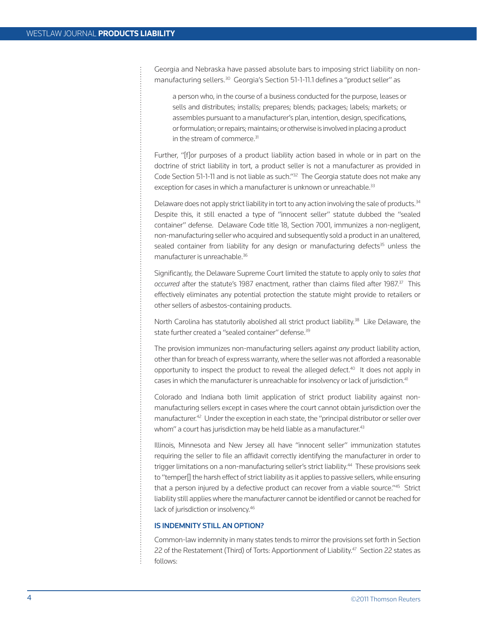Georgia and Nebraska have passed absolute bars to imposing strict liability on nonmanufacturing sellers.<sup>30</sup> Georgia's Section 51-1-11.1 defines a "product seller" as

a person who, in the course of a business conducted for the purpose, leases or sells and distributes; installs; prepares; blends; packages; labels; markets; or assembles pursuant to a manufacturer's plan, intention, design, specifications, or formulation; or repairs; maintains; or otherwise is involved in placing a product in the stream of commerce. $31$ 

Further, "[f]or purposes of a product liability action based in whole or in part on the doctrine of strict liability in tort, a product seller is not a manufacturer as provided in Code Section 51-1-11 and is not liable as such."32 The Georgia statute does not make any exception for cases in which a manufacturer is unknown or unreachable.<sup>33</sup>

Delaware does not apply strict liability in tort to any action involving the sale of products.<sup>34</sup> Despite this, it still enacted a type of "innocent seller" statute dubbed the "sealed container" defense. Delaware Code title 18, Section 7001, immunizes a non-negligent, non-manufacturing seller who acquired and subsequently sold a product in an unaltered, sealed container from liability for any design or manufacturing defects $35$  unless the manufacturer is unreachable.<sup>36</sup>

Significantly, the Delaware Supreme Court limited the statute to apply only to *sales that occurred* after the statute's 1987 enactment, rather than claims filed after 1987.37 This effectively eliminates any potential protection the statute might provide to retailers or other sellers of asbestos-containing products.

North Carolina has statutorily abolished all strict product liability.<sup>38</sup> Like Delaware, the state further created a "sealed container" defense.<sup>39</sup>

The provision immunizes non-manufacturing sellers against *any* product liability action, other than for breach of express warranty, where the seller was not afforded a reasonable opportunity to inspect the product to reveal the alleged defect.<sup>40</sup> It does not apply in cases in which the manufacturer is unreachable for insolvency or lack of jurisdiction.<sup>41</sup>

Colorado and Indiana both limit application of strict product liability against nonmanufacturing sellers except in cases where the court cannot obtain jurisdiction over the manufacturer.<sup>42</sup> Under the exception in each state, the "principal distributor or seller over whom" a court has jurisdiction may be held liable as a manufacturer. $43$ 

Illinois, Minnesota and New Jersey all have "innocent seller" immunization statutes requiring the seller to file an affidavit correctly identifying the manufacturer in order to trigger limitations on a non-manufacturing seller's strict liability.<sup>44</sup> These provisions seek to "temper[] the harsh effect of strict liability as it applies to passive sellers, while ensuring that a person injured by a defective product can recover from a viable source."45 Strict liability still applies where the manufacturer cannot be identified or cannot be reached for lack of jurisdiction or insolvency.46

#### IS INDEMNITY STILL AN OPTION?

Common-law indemnity in many states tends to mirror the provisions set forth in Section 22 of the Restatement (Third) of Torts: Apportionment of Liability.<sup>47</sup> Section 22 states as follows: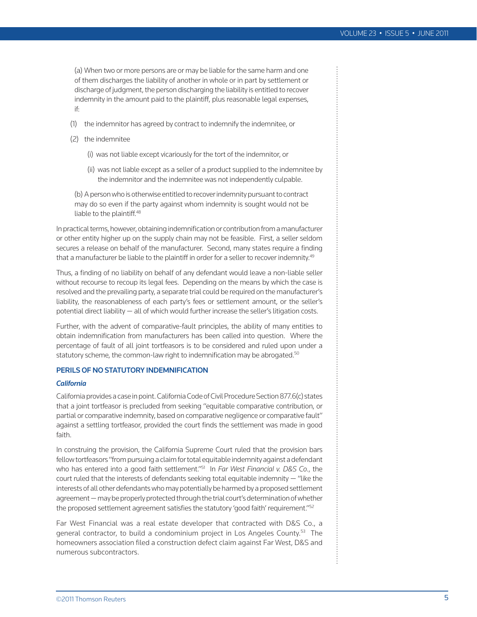(a) When two or more persons are or may be liable for the same harm and one of them discharges the liability of another in whole or in part by settlement or discharge of judgment, the person discharging the liability is entitled to recover indemnity in the amount paid to the plaintiff, plus reasonable legal expenses, if:

- (1) the indemnitor has agreed by contract to indemnify the indemnitee, or
- (2) the indemnitee
	- (i) was not liable except vicariously for the tort of the indemnitor, or
	- (ii) was not liable except as a seller of a product supplied to the indemnitee by the indemnitor and the indemnitee was not independently culpable.

(b) A person who is otherwise entitled to recover indemnity pursuant to contract may do so even if the party against whom indemnity is sought would not be liable to the plaintiff.<sup>48</sup>

In practical terms, however, obtaining indemnification or contribution from a manufacturer or other entity higher up on the supply chain may not be feasible. First, a seller seldom secures a release on behalf of the manufacturer. Second, many states require a finding that a manufacturer be liable to the plaintiff in order for a seller to recover indemnity.<sup>49</sup>

Thus, a finding of no liability on behalf of any defendant would leave a non-liable seller without recourse to recoup its legal fees. Depending on the means by which the case is resolved and the prevailing party, a separate trial could be required on the manufacturer's liability, the reasonableness of each party's fees or settlement amount, or the seller's potential direct liability — all of which would further increase the seller's litigation costs.

Further, with the advent of comparative-fault principles, the ability of many entities to obtain indemnification from manufacturers has been called into question. Where the percentage of fault of all joint tortfeasors is to be considered and ruled upon under a statutory scheme, the common-law right to indemnification may be abrogated.<sup>50</sup>

#### PERILS OF NO STATUTORY INDEMNIFICATION

#### *California*

California provides a case in point. California Code of Civil Procedure Section 877.6(c) states that a joint tortfeasor is precluded from seeking "equitable comparative contribution, or partial or comparative indemnity, based on comparative negligence or comparative fault" against a settling tortfeasor, provided the court finds the settlement was made in good faith.

In construing the provision, the California Supreme Court ruled that the provision bars fellow tortfeasors "from pursuing a claim for total equitable indemnity against a defendant who has entered into a good faith settlement."51 In *Far West Financial v. D&S Co.*, the court ruled that the interests of defendants seeking total equitable indemnity  $-$  "like the interests of all other defendants who may potentially be harmed by a proposed settlement agreement — may be properly protected through the trial court's determination of whether the proposed settlement agreement satisfies the statutory 'good faith' requirement."52

Far West Financial was a real estate developer that contracted with D&S Co., a general contractor, to build a condominium project in Los Angeles County.<sup>53</sup> The homeowners association filed a construction defect claim against Far West, D&S and numerous subcontractors.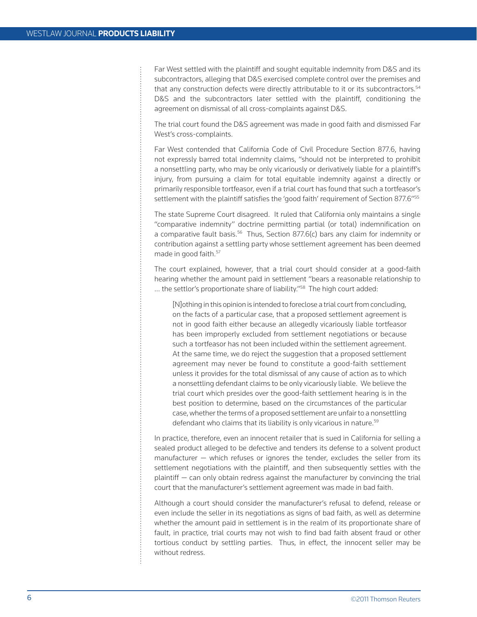Far West settled with the plaintiff and sought equitable indemnity from D&S and its subcontractors, alleging that D&S exercised complete control over the premises and that any construction defects were directly attributable to it or its subcontractors.<sup>54</sup> D&S and the subcontractors later settled with the plaintiff, conditioning the agreement on dismissal of all cross-complaints against D&S.

The trial court found the D&S agreement was made in good faith and dismissed Far West's cross-complaints.

Far West contended that California Code of Civil Procedure Section 877.6, having not expressly barred total indemnity claims, "should not be interpreted to prohibit a nonsettling party, who may be only vicariously or derivatively liable for a plaintiff's injury, from pursuing a claim for total equitable indemnity against a directly or primarily responsible tortfeasor, even if a trial court has found that such a tortfeasor's settlement with the plaintiff satisfies the 'good faith' requirement of Section 877.6"<sup>55</sup>

The state Supreme Court disagreed. It ruled that California only maintains a single "comparative indemnity" doctrine permitting partial (or total) indemnification on a comparative fault basis. $56$  Thus, Section 877.6(c) bars any claim for indemnity or contribution against a settling party whose settlement agreement has been deemed made in good faith.<sup>57</sup>

The court explained, however, that a trial court should consider at a good-faith hearing whether the amount paid in settlement "bears a reasonable relationship to ... the settlor's proportionate share of liability."<sup>58</sup> The high court added:

[N]othing in this opinion is intended to foreclose a trial court from concluding, on the facts of a particular case, that a proposed settlement agreement is not in good faith either because an allegedly vicariously liable tortfeasor has been improperly excluded from settlement negotiations or because such a tortfeasor has not been included within the settlement agreement. At the same time, we do reject the suggestion that a proposed settlement agreement may never be found to constitute a good-faith settlement unless it provides for the total dismissal of any cause of action as to which a nonsettling defendant claims to be only vicariously liable. We believe the trial court which presides over the good-faith settlement hearing is in the best position to determine, based on the circumstances of the particular case, whether the terms of a proposed settlement are unfair to a nonsettling defendant who claims that its liability is only vicarious in nature.<sup>59</sup>

In practice, therefore, even an innocent retailer that is sued in California for selling a sealed product alleged to be defective and tenders its defense to a solvent product manufacturer — which refuses or ignores the tender, excludes the seller from its settlement negotiations with the plaintiff, and then subsequently settles with the plaintiff — can only obtain redress against the manufacturer by convincing the trial court that the manufacturer's settlement agreement was made in bad faith.

Although a court should consider the manufacturer's refusal to defend, release or even include the seller in its negotiations as signs of bad faith, as well as determine whether the amount paid in settlement is in the realm of its proportionate share of fault, in practice, trial courts may not wish to find bad faith absent fraud or other tortious conduct by settling parties. Thus, in effect, the innocent seller may be without redress.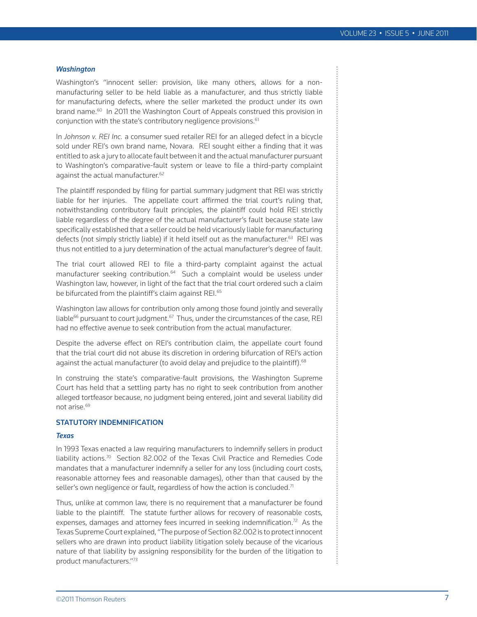#### *Washington*

Washington's "innocent seller: provision, like many others, allows for a nonmanufacturing seller to be held liable as a manufacturer, and thus strictly liable for manufacturing defects, where the seller marketed the product under its own brand name.<sup>60</sup> In 2011 the Washington Court of Appeals construed this provision in conjunction with the state's contributory negligence provisions.<sup>61</sup>

In *Johnson v. REI Inc.* a consumer sued retailer REI for an alleged defect in a bicycle sold under REI's own brand name, Novara. REI sought either a finding that it was entitled to ask a jury to allocate fault between it and the actual manufacturer pursuant to Washington's comparative-fault system or leave to file a third-party complaint against the actual manufacturer.<sup>62</sup>

The plaintiff responded by filing for partial summary judgment that REI was strictly liable for her injuries. The appellate court affirmed the trial court's ruling that, notwithstanding contributory fault principles, the plaintiff could hold REI strictly liable regardless of the degree of the actual manufacturer's fault because state law specifically established that a seller could be held vicariously liable for manufacturing defects (not simply strictly liable) if it held itself out as the manufacturer.<sup>63</sup> REI was thus not entitled to a jury determination of the actual manufacturer's degree of fault.

The trial court allowed REI to file a third-party complaint against the actual manufacturer seeking contribution.<sup>64</sup> Such a complaint would be useless under Washington law, however, in light of the fact that the trial court ordered such a claim be bifurcated from the plaintiff's claim against REI.<sup>65</sup>

Washington law allows for contribution only among those found jointly and severally liable $^{66}$  pursuant to court judgment. $^{67}$  Thus, under the circumstances of the case, REI had no effective avenue to seek contribution from the actual manufacturer.

Despite the adverse effect on REI's contribution claim, the appellate court found that the trial court did not abuse its discretion in ordering bifurcation of REI's action against the actual manufacturer (to avoid delay and prejudice to the plaintiff).<sup>68</sup>

In construing the state's comparative-fault provisions, the Washington Supreme Court has held that a settling party has no right to seek contribution from another alleged tortfeasor because, no judgment being entered, joint and several liability did not arise.69

#### STATUTORY INDEMNIFICATION

#### *Texas*

In 1993 Texas enacted a law requiring manufacturers to indemnify sellers in product liability actions.70 Section 82.002 of the Texas Civil Practice and Remedies Code mandates that a manufacturer indemnify a seller for any loss (including court costs, reasonable attorney fees and reasonable damages), other than that caused by the seller's own negligence or fault, regardless of how the action is concluded.<sup>71</sup>

Thus, unlike at common law, there is no requirement that a manufacturer be found liable to the plaintiff. The statute further allows for recovery of reasonable costs, expenses, damages and attorney fees incurred in seeking indemnification.<sup>72</sup> As the Texas Supreme Court explained, "The purpose of Section 82.002 is to protect innocent sellers who are drawn into product liability litigation solely because of the vicarious nature of that liability by assigning responsibility for the burden of the litigation to product manufacturers."73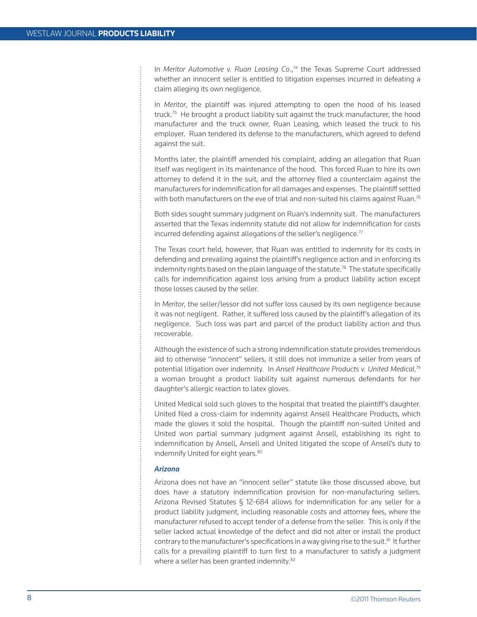In *Meritor Automotive v. Ruan Leasing Co.*,<sup>74</sup> the Texas Supreme Court addressed whether an innocent seller is entitled to litigation expenses incurred in defeating a claim alleging its own negligence.

In *Meritor*, the plaintiff was injured attempting to open the hood of his leased truck.<sup>75</sup> He brought a product liability suit against the truck manufacturer, the hood manufacturer and the truck owner, Ruan Leasing, which leased the truck to his employer. Ruan tendered its defense to the manufacturers, which agreed to defend against the suit.

Months later, the plaintiff amended his complaint, adding an allegation that Ruan itself was negligent in its maintenance of the hood. This forced Ruan to hire its own attorney to defend it in the suit, and the attorney filed a counterclaim against the manufacturers for indemnification for all damages and expenses. The plaintiff settled with both manufacturers on the eve of trial and non-suited his claims against Ruan.<sup>76</sup>

Both sides sought summary judgment on Ruan's indemnity suit. The manufacturers asserted that the Texas indemnity statute did not allow for indemnification for costs incurred defending against allegations of the seller's negligence. $77$ 

The Texas court held, however, that Ruan was entitled to indemnity for its costs in defending and prevailing against the plaintiff's negligence action and in enforcing its indemnity rights based on the plain language of the statute.<sup>78</sup> The statute specifically calls for indemnification against loss arising from a product liability action except those losses caused by the seller.

In *Meritor*, the seller/lessor did not suffer loss caused by its own negligence because it was not negligent. Rather, it suffered loss caused by the plaintiff's allegation of its negligence. Such loss was part and parcel of the product liability action and thus recoverable.

Although the existence of such a strong indemnification statute provides tremendous aid to otherwise "innocent" sellers, it still does not immunize a seller from years of potential litigation over indemnity. In *Ansell Healthcare Products v. United Medical*, 79 a woman brought a product liability suit against numerous defendants for her daughter's allergic reaction to latex gloves.

United Medical sold such gloves to the hospital that treated the plaintiff's daughter. United filed a cross-claim for indemnity against Ansell Healthcare Products, which made the gloves it sold the hospital. Though the plaintiff non-suited United and United won partial summary judgment against Ansell, establishing its right to indemnification by Ansell, Ansell and United litigated the scope of Ansell's duty to indemnify United for eight years.<sup>80</sup>

#### *Arizona*

Arizona does not have an "innocent seller" statute like those discussed above, but does have a statutory indemnification provision for non-manufacturing sellers. Arizona Revised Statutes § 12-684 allows for indemnification for any seller for a product liability judgment, including reasonable costs and attorney fees, where the manufacturer refused to accept tender of a defense from the seller. This is only if the seller lacked actual knowledge of the defect and did not alter or install the product contrary to the manufacturer's specifications in a way giving rise to the suit. $81$  It further calls for a prevailing plaintiff to turn first to a manufacturer to satisfy a judgment where a seller has been granted indemnity.<sup>82</sup>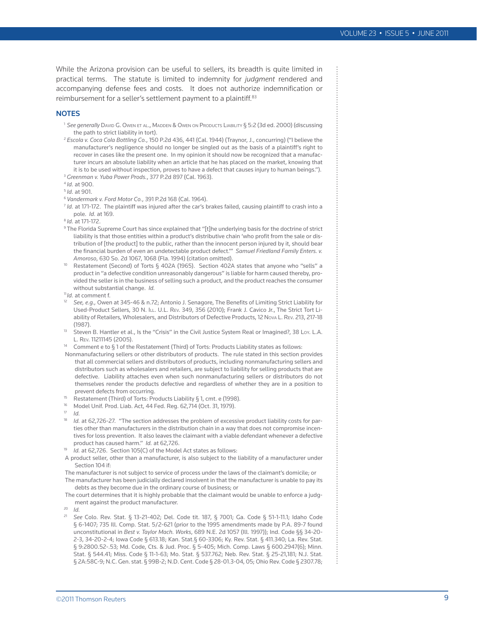While the Arizona provision can be useful to sellers, its breadth is quite limited in practical terms. The statute is limited to indemnity for *judgment* rendered and accompanying defense fees and costs. It does not authorize indemnification or reimbursement for a seller's settlement payment to a plaintiff.<sup>83</sup>

#### **NOTES**

- <sup>1</sup> See generally David G. Owen et al., Madden & Owen on Products Liability § 5:2 (3d ed. 2000) (discussing the path to strict liability in tort).
- <sup>2</sup> *Escola v. Coca Cola Bottling Co.*, 150 P.2d 436, 441 (Cal. 1944) (Traynor, J., concurring) ("I believe the manufacturer's negligence should no longer be singled out as the basis of a plaintiff's right to recover in cases like the present one. In my opinion it should now be recognized that a manufacturer incurs an absolute liability when an article that he has placed on the market, knowing that it is to be used without inspection, proves to have a defect that causes injury to human beings.").
- <sup>3</sup> *Greenman v. Yuba Power Prods.*, 377 P.2d 897 (Cal. 1963).
- <sup>4</sup> *Id.* at 900.

<sup>5</sup> *Id.* at 901.

- <sup>6</sup> *Vandermark v. Ford Motor Co.*, 391 P.2d 168 (Cal. 1964).
- <sup>7</sup> *Id.* at 171-172. The plaintiff was injured after the car's brakes failed, causing plaintiff to crash into a pole. *Id.* at 169.
- <sup>8</sup> *Id.* at 171-172.
- $^{\rm 9}$  The Florida Supreme Court has since explained that "[t]he underlying basis for the doctrine of strict liability is that those entities within a product's distributive chain 'who profit from the sale or distribution of [the product] to the public, rather than the innocent person injured by it, should bear the financial burden of even an undetectable product defect.'" *Samuel Friedland Family Enters. v. Amoroso*, 630 So. 2d 1067, 1068 (Fla. 1994) (citation omitted).
- <sup>10</sup> Restatement (Second) of Torts § 402A (1965). Section 402A states that anyone who "sells" a product in "a defective condition unreasonably dangerous" is liable for harm caused thereby, provided the seller is in the business of selling such a product, and the product reaches the consumer without substantial change. *Id.*
- <sup>11</sup> *Id.* at comment f.
- <sup>12</sup> *See, e.g.,* Owen at 345-46 & n.72; Antonio J. Senagore, The Benefits of Limiting Strict Liability for Used-Product Sellers, 30 N. ILL. U.L. Rev. 349, 356 (2010); Frank J. Cavico Jr., The Strict Tort Liability of Retailers, Wholesalers, and Distributors of Defective Products, 12 Nova L. Rev. 213, 217-18 (1987).
- <sup>13</sup> Steven B. Hantler et al., Is the "Crisis" in the Civil Justice System Real or Imagined?, 38 Loy. L.A. L. Rev. 11211145 (2005).
- <sup>14</sup> Comment e to § 1 of the Restatement (Third) of Torts: Products Liability states as follows:
- Nonmanufacturing sellers or other distributors of products. The rule stated in this section provides that all commercial sellers and distributors of products, including nonmanufacturing sellers and distributors such as wholesalers and retailers, are subject to liability for selling products that are defective. Liability attaches even when such nonmanufacturing sellers or distributors do not themselves render the products defective and regardless of whether they are in a position to prevent defects from occurring.
- Restatement (Third) of Torts: Products Liability § 1, cmt. e (1998).
- <sup>16</sup> Model Unif. Prod. Liab. Act, 44 Fed. Reg. 62,714 (Oct. 31, 1979).
- <sup>17</sup> *Id.*
- <sup>18</sup> *Id.* at 62,726-27. "The section addresses the problem of excessive product liability costs for parties other than manufacturers in the distribution chain in a way that does not compromise incentives for loss prevention. It also leaves the claimant with a viable defendant whenever a defective product has caused harm." *Id.* at 62,726.
- *Id.* at 62,726. Section 105(C) of the Model Act states as follows:
- A product seller, other than a manufacturer, is also subject to the liability of a manufacturer under Section 104 if:

The manufacturer is not subject to service of process under the laws of the claimant's domicile; or The manufacturer has been judicially declared insolvent in that the manufacturer is unable to pay its debts as they become due in the ordinary course of business; or

The court determines that it is highly probable that the claimant would be unable to enforce a judgment against the product manufacturer.

- $\frac{20}{21}$  *Id.*
- <sup>21</sup> *See* Colo. Rev. Stat. § 13-21-402; Del. Code tit. 187, § 7001; Ga. Code § 51-1-11.1; Idaho Code § 6-1407; 735 Ill. Comp. Stat. 5/2-621 (prior to the 1995 amendments made by P.A. 89-7 found unconstitutional in *Best v. Taylor Mach. Works*, 689 N.E. 2d 1057 (Ill. 1997)); Ind. Code §§ 34-20- 2-3, 34-20-2-4; Iowa Code § 613.18; Kan. Stat.§ 60-3306; Ky. Rev. Stat. § 411.340; La. Rev. Stat. § 9:2800.52-.53; Md. Code, Cts. & Jud. Proc. § 5-405; Mich. Comp. Laws § 600.2947(6); Minn. Stat. § 544.41; Miss. Code § 11-1-63; Mo. Stat. § 537.762; Neb. Rev. Stat. § 25-21,181; N.J. Stat. § 2A:58C-9; N.C. Gen. stat. § 99B-2; N.D. Cent. Code § 28-01.3-04, 05; Ohio Rev. Code § 2307.78;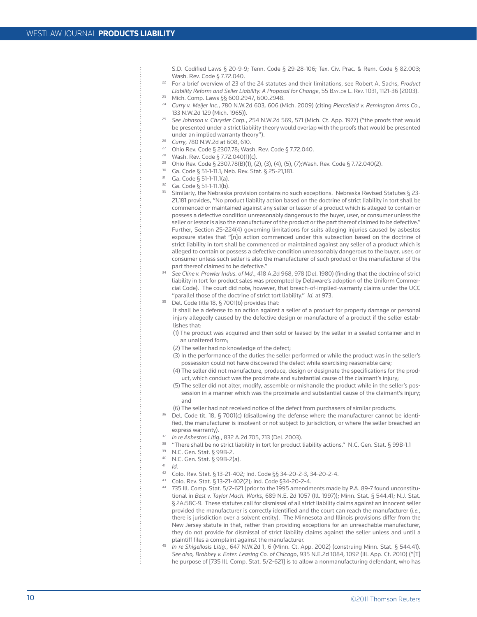- S.D. Codified Laws § 20-9-9; Tenn. Code § 29-28-106; Tex. Civ. Prac. & Rem. Code § 82.003; Wash. Rev. Code § 7.72.040.
- <sup>22</sup> For a brief overview of 23 of the 24 statutes and their limitations, see Robert A. Sachs, *Product Liability Reform and Seller Liability: A Proposal for Change*, 55 Baylor L. Rev. 1031, 1121-36 (2003).
- <sup>23</sup> Mich. Comp. Laws §§ 600.2947, 600.2948.
- <sup>24</sup> *Curry v. Meijer Inc.*, 780 N.W.2d 603, 606 (Mich. 2009) (citing *Piercefield v. Remington Arms Co.,* 133 N.W.2d 129 (Mich. 1965)).
- <sup>25</sup> *See Johnson v. Chrysler Corp.*, 254 N.W.2d 569, 571 (Mich. Ct. App. 1977) ("the proofs that would be presented under a strict liability theory would overlap with the proofs that would be presented under an implied warranty theory").
- <sup>26</sup> *Curry*, 780 N.W.2d at 608, 610.
- <sup>27</sup> Ohio Rev. Code § 2307.78; Wash. Rev. Code § 7.72.040.
- <sup>28</sup> Wash. Rev. Code § 7.72.040(1)(c).
- <sup>29</sup> Ohio Rev. Code § 2307.78(B)(1), (2), (3), (4), (5), (7);Wash. Rev. Code § 7.72.040(2).
- 30 Ga. Code § 51-1-11.1; Neb. Rev. Stat. § 25-21,181.
- $31$  Ga. Code § 51-1-11.1(a).
- $32$  Ga. Code § 51-1-11.1(b).
- $33$  Similarly, the Nebraska provision contains no such exceptions. Nebraska Revised Statutes § 23-21,181 provides, "No product liability action based on the doctrine of strict liability in tort shall be commenced or maintained against any seller or lessor of a product which is alleged to contain or possess a defective condition unreasonably dangerous to the buyer, user, or consumer unless the seller or lessor is also the manufacturer of the product or the part thereof claimed to be defective." Further, Section 25-224(4) governing limitations for suits alleging injuries caused by asbestos exposure states that "[n]o action commenced under this subsection based on the doctrine of strict liability in tort shall be commenced or maintained against any seller of a product which is alleged to contain or possess a defective condition unreasonably dangerous to the buyer, user, or consumer unless such seller is also the manufacturer of such product or the manufacturer of the part thereof claimed to be defective."
- <sup>34</sup> *See Cline v. Prowler Indus. of Md.*, 418 A.2d 968, 978 (Del. 1980) (finding that the doctrine of strict liability in tort for product sales was preempted by Delaware's adoption of the Uniform Commercial Code). The court did note, however, that breach-of-implied-warranty claims under the UCC "parallel those of the doctrine of strict tort liability." *Id.* at 973.
- Del. Code title 18, § 7001(b) provides that:

It shall be a defense to an action against a seller of a product for property damage or personal injury allegedly caused by the defective design or manufacture of a product if the seller establishes that:

- (1) The product was acquired and then sold or leased by the seller in a sealed container and in an unaltered form;
- (2) The seller had no knowledge of the defect;
- (3) In the performance of the duties the seller performed or while the product was in the seller's possession could not have discovered the defect while exercising reasonable care;
- (4) The seller did not manufacture, produce, design or designate the specifications for the product, which conduct was the proximate and substantial cause of the claimant's injury;
- (5) The seller did not alter, modify, assemble or mishandle the product while in the seller's possession in a manner which was the proximate and substantial cause of the claimant's injury; and
- (6) The seller had not received notice of the defect from purchasers of similar products.
- Del. Code tit. 18, § 7001(c) (disallowing the defense where the manufacturer cannot be identified, the manufacturer is insolvent or not subject to jurisdiction, or where the seller breached an express warranty). 37 *In re Asbestos Litig.*, <sup>832</sup> A.2d 705, <sup>713</sup> (Del. 2003).
- 
- "There shall be no strict liability in tort for product liability actions." N.C. Gen. Stat. § 99B-1.1
- 39 N.C. Gen. Stat. § 99B-2.
- 40 N.C. Gen. Stat. § 99B-2(a).
- <sup>41</sup> *Id.*
- 42 Colo. Rev. Stat. § 13-21-402; Ind. Code §§ 34-20-2-3, 34-20-2-4.
- 43 Colo. Rev. Stat. § 13-21-402(2); Ind. Code §34-20-2-4.
- 735 Ill. Comp. Stat. 5/2-621 (prior to the 1995 amendments made by P.A. 89-7 found unconstitutional in *Best v. Taylor Mach. Works*, 689 N.E. 2d 1057 (Ill. 1997)); Minn. Stat. § 544.41; N.J. Stat. § 2A:58C-9. These statutes call for dismissal of all strict liability claims against an innocent seller provided the manufacturer is correctly identified and the court can reach the manufacturer (*i.e.*, there is jurisdiction over a solvent entity). The Minnesota and Illinois provisions differ from the New Jersey statute in that, rather than providing exceptions for an unreachable manufacturer, they do not provide for dismissal of strict liability claims against the seller unless and until a plaintiff files a complaint against the manufacturer.
- <sup>45</sup> *In re Shigellosis Litig.*, 647 N.W.2d 1, 6 (Minn. Ct. App. 2002) (construing Minn. Stat. § 544.41). *See also, Brobbey v. Enter. Leasing Co. of Chicago*, 935 N.E.2d 1084, 1092 (Ill. App. Ct. 2010) ("[T] he purpose of [735 Ill. Comp. Stat. 5/2-621] is to allow a nonmanufacturing defendant, who has